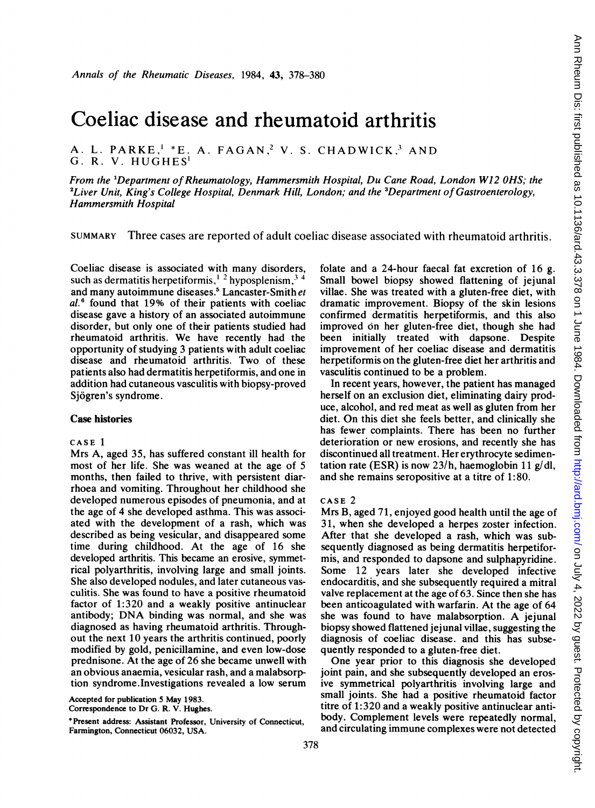# Coeliac disease and rheumatoid arthritis

A. L. PARKE,<sup>1</sup> \*E. A. FAGAN,<sup>2</sup> V. S. CHADWICK,<sup>3</sup> AND G. R. V. HUGHES'

From the 'Department ofRheumatology, Hammersmith Hospital, Du Cane Road, London W12 OHS; the <sup>2</sup> Liver Unit, King's College Hospital, Denmark Hill, London; and the  ${}^{3}$ Department of Gastroenterology, Hammersmith Hospital

SUMMARY Three cases are reported of adult coeliac disease associated with rheumatoid arthritis.

Coeliac disease is associated with many disorders, such as dermatitis herpetiformis,<sup> $1\frac{2}{3}$ </sup> hyposplenism,  $3\frac{4}{3}$ and many autoimmune diseases.<sup>5</sup> Lancaster-Smith et  $al.6$  found that 19% of their patients with coeliac disease gave a history of an associated autoimmune disorder, but only one of their patients studied had rheumatoid arthritis. We have recently had the opportunity of studying 3 patients with adult coeliac disease and rheumatoid arthritis. Two of these patients also had dermatitis herpetiformis, and one in addition had cutaneous vasculitis with biopsy-proved Sjogren's syndrome.

## Case histories

## CASE <sup>1</sup>

Mrs A, aged 35, has suffered constant ill health for most of her life. She was weaned at the age of 5 months, then failed to thrive, with persistent diarrhoea and vomiting. Throughout her childhood she developed numerous episodes of pneumonia, and at the age of 4 she developed asthma. This was associated with the development of a rash, which was described as being vesicular, and disappeared some time during childhood. At the age of 16 she developed arthritis. This became an erosive, symmetrical polyarthritis, involving large and small joints. She also developed nodules, and later cutaneous vasculitis. She was found to have a positive rheumatoid factor of 1:320 and a weakly positive antinuclear antibody; DNA binding was normal, and she was diagnosed as having rheumatoid arthritis. Throughout the next 10 years the arthritis continued, poorly modified by gold, penicillamine, and even low-dose prednisone. At the age of 26 she became unwell with an obvious anaemia, vesicular rash, and a malabsorption syndrome.Investigations revealed a low serum

Accepted for publication 5 May 1983.

Correspondence to Dr G. R. V. Hughes.

\*Present address: Assistant Professor, University of Connecticut, Farmington, Connecticut 06032, USA.

folate and a 24-hour faecal fat excretion of 16 g. Small bowel biopsy showed flattening of jejunal villae. She was treated with a gluten-free diet, with dramatic improvement. Biopsy of the skin lesions confirmed dermatitis herpetiformis, and this also improved on her gluten-free diet, though she had been initially treated with dapsone. Despite improvement of her coeliac disease and dermatitis herpetiformis on the gluten-free diet her arthritis and vasculitis continued to be a problem.

In recent years, however, the patient has managed herself on an exclusion diet, eliminating dairy produce, alcohol, and red meat as well as gluten from her diet. On this diet she feels better, and clinically she has fewer complaints. There has been no further deterioration or new erosions, and recently she has discontinued all treatment. Her erythrocyte sedimentation rate (ESR) is now  $23/h$ , haemoglobin 11 g/dl, and she remains seropositive at a titre of 1:80.

#### CASE 2

Mrs B, aged 71, enjoyed good health until the age of 31, when she developed a herpes zoster infection. After that she developed a rash, which was subsequently diagnosed as being dermatitis herpetiformis, and responded to dapsone and sulphapyridine. Some 12 years later she developed infective endocarditis, and she subsequently required a mitral valve replacement at the age of 63. Since then she has been anticoagulated with warfarin. At the age of 64 she was found to have malabsorption. A jejunal biopsy showed flattened jejunal villae, suggesting the diagnosis of coeliac disease. and this has subsequently responded to a gluten-free diet.

One year prior to this diagnosis she developed joint pain, and she subsequently developed an erosive symmetrical polyarthritis involving large and small joints. She had a positive rheumatoid factor titre of 1:320 and a weakly positive antinuclear antibody. Complement levels were repeatedly normal, and circulating immune complexes were not detected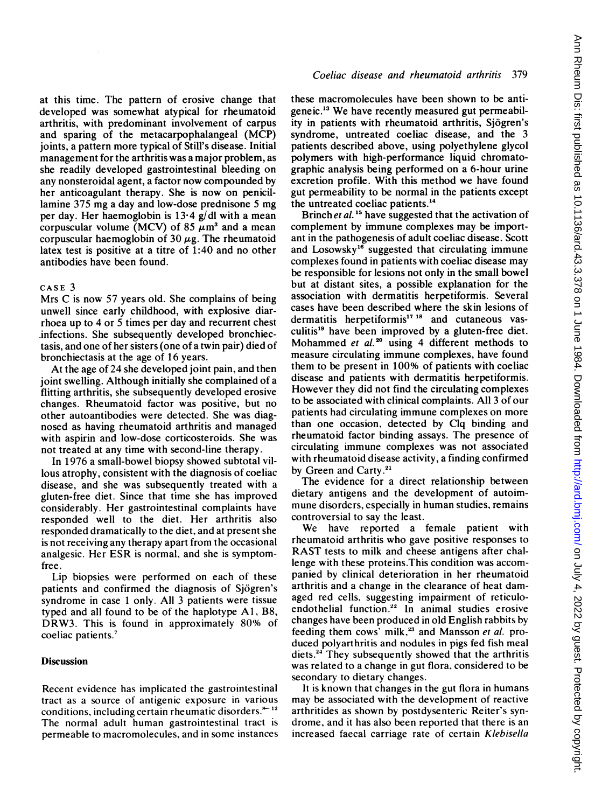at this time. The pattern of erosive change that developed was somewhat atypical for rheumatoid arthritis, with predominant involvement of carpus and sparing of the metacarpophalangeal (MCP) joints, a pattern more typical of Still's disease. Initial management for the arthritis was a major problem, as she readily developed gastrointestinal bleeding on any nonsteroidal agent, a factor now compounded by her anticoagulant therapy. She is now on penicillamine 375 mg <sup>a</sup> day and low-dose prednisone <sup>5</sup> mg per day. Her haemoglobin is  $13.4$  g/dl with a mean corpuscular volume (MCV) of 85  $\mu$ m<sup>3</sup> and a mean corpuscular haemoglobin of 30  $\mu$ g. The rheumatoid latex test is positive at a titre of 1:40 and no other antibodies have been found.

#### CASE 3

Mrs C is now 57 years old. She complains of being unwell since early childhood, with explosive diarrhoea up to 4 or 5 times per day and recurrent chest infections. She subsequently developed bronchiectasis, and one of her sisters (one of a twin pair) died of bronchiectasis at the age of 16 years.

At the age of 24 she developed joint pain, and then joint swelling. Although initially she complained of a flitting arthritis, she subsequently developed erosive changes. Rheumatoid factor was positive, but no other autoantibodies were detected. She was diagnosed as having rheumatoid arthritis and managed with aspirin and low-dose corticosteroids. She was not treated at any time with second-line therapy.

In 1976 a small-bowel biopsy showed subtotal villous atrophy, consistent with the diagnosis of coeliac disease, and she was subsequently treated with a gluten-free diet. Since that time she has improved considerably. Her gastrointestinal complaints have responded well to the diet. Her arthritis also responded dramatically to the diet, and at present she is not receiving any therapy apart from the occasional analgesic. Her ESR is normal, and she is symptomfree.

Lip biopsies were performed on each of these patients and confirmed the diagnosis of Sjogren's syndrome in case <sup>1</sup> only. All 3 patients were tissue typed and all found to be of the haplotype Al, B8, DRW3. This is found in approximately 80% of coeliac patients.<sup>7</sup>

# **Discussion**

Recent evidence has implicated the gastrointestinal tract as a source of antigenic exposure in various conditions, including certain rheumatic disorders. $*$ <sup>12</sup> The normal adult human gastrointestinal tract is permeable to macromolecules, and in some instances

## Coeliac disease and rheumatoid arthritis 379

these macromolecules have been shown to be antigeneic.<sup>13</sup> We have recently measured gut permeability in patients with rheumatoid arthritis, Sjogren's syndrome, untreated coeliac disease, and the 3 patients described above, using polyethylene glycol polymers with high-performance liquid chromatographic analysis being performed on a 6-hour urine excretion profile. With this method we have found gut permeability to be normal in the patients except the untreated coeliac patients.<sup>14</sup>

Brinch et al.<sup>15</sup> have suggested that the activation of complement by immune complexes may be important in the pathogenesis of adult coeliac disease. Scott and Losowsky<sup>16</sup> suggested that circulating immune complexes found in patients with coeliac disease may be responsible for lesions not only in the small bowel but at distant sites, a possible explanation for the association with dermatitis herpetiformis. Several cases have been described where the skin lesions of dermatitis herpetiformis<sup>17</sup> <sup>18</sup> and cutaneous vasculitis"9 have been improved by a gluten-free diet. Mohammed et  $al.^{20}$  using 4 different methods to measure circulating immune complexes, have found them to be present in 100% of patients with coeliac disease and patients with dermatitis herpetiformis. However they did not find the circulating complexes to be associated with clinical complaints. All 3 of our patients had circulating immune complexes on more than one occasion, detected by Clq binding and rheumatoid factor binding assays. The presence of circulating immune complexes was not associated with rheumatoid disease activity, a finding confirmed by Green and Carty.<sup>21</sup>

The evidence for a direct relationship between dietary antigens and the development of autoimmune disorders, especially in human studies, remains controversial to say the least.

We have reported <sup>a</sup> female patient with rheumatoid arthritis who gave positive responses to RAST tests to milk and cheese antigens after challenge with these proteins.This condition was accompanied by clinical deterioration in her rheumatoid arthritis and a change in the clearance of heat damaged red cells, suggesting impairment of reticuloendothelial function.<sup>22</sup> In animal studies erosive changes have been produced in old English rabbits by feeding them cows' milk,<sup>23</sup> and Mansson et al. produced polyarthritis and nodules in pigs fed fish meal diets.<sup>24</sup> They subsequently showed that the arthritis was related to a change in gut flora, considered to be secondary to dietary changes.

It is known that changes in the gut flora in humans may be associated with the development of reactive arthritides as shown by postdysenteric Reiter's syndrome, and it has also been reported that there is an increased faecal carriage rate of certain Klebisella